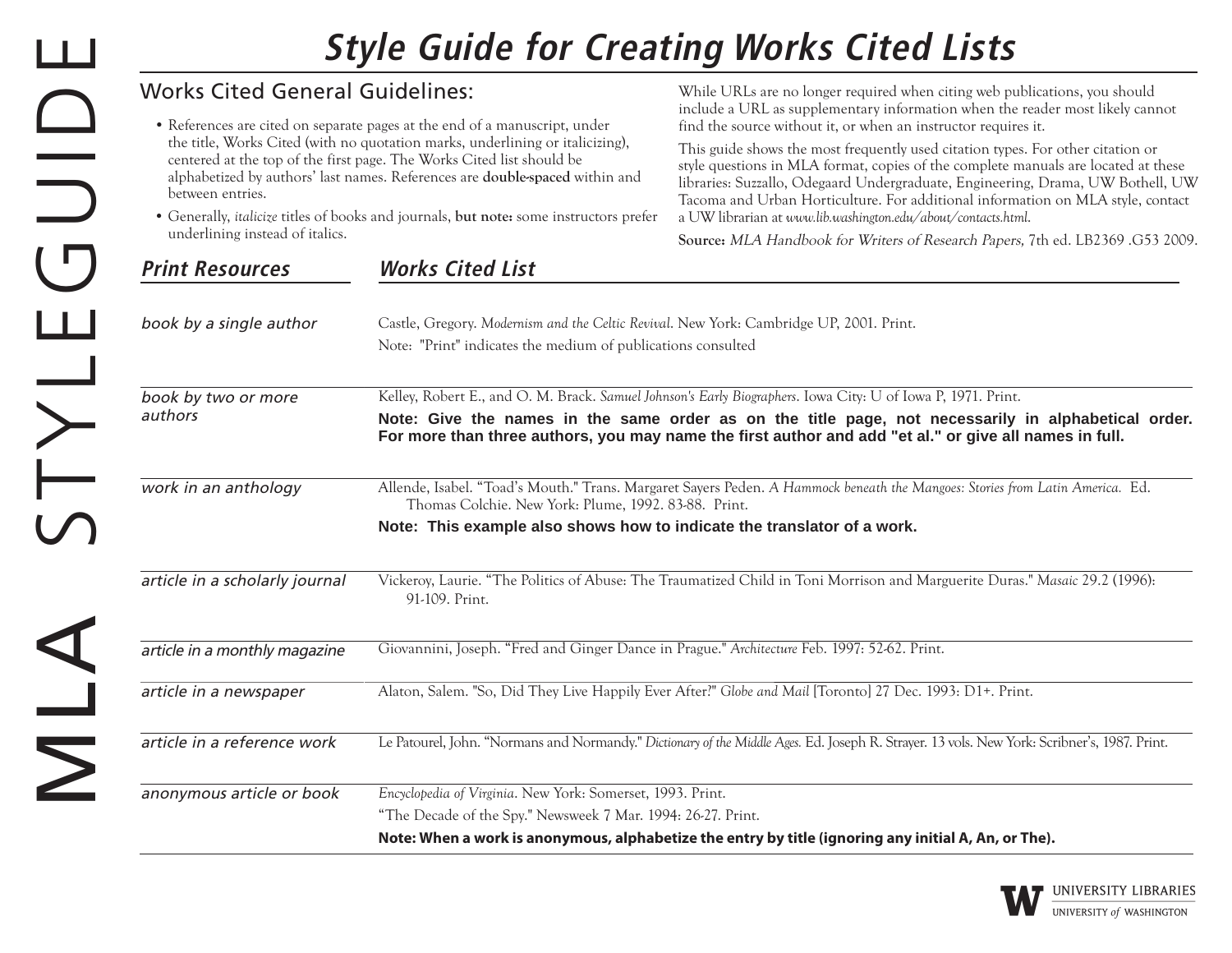## **Style Guide for Creating Works Cited Lists**

| <b>Works Cited General Guidelines:</b>                                                                                                                                                                                                                                                                                                                                                                                                                                       |                                                                                                                                                                                                                                                                                                                               | While URLs are no longer required when citing web publications, you should                                                                                                                                                                                                                                                                                                                                                                                                                                                                                                                                                                        |
|------------------------------------------------------------------------------------------------------------------------------------------------------------------------------------------------------------------------------------------------------------------------------------------------------------------------------------------------------------------------------------------------------------------------------------------------------------------------------|-------------------------------------------------------------------------------------------------------------------------------------------------------------------------------------------------------------------------------------------------------------------------------------------------------------------------------|---------------------------------------------------------------------------------------------------------------------------------------------------------------------------------------------------------------------------------------------------------------------------------------------------------------------------------------------------------------------------------------------------------------------------------------------------------------------------------------------------------------------------------------------------------------------------------------------------------------------------------------------------|
| • References are cited on separate pages at the end of a manuscript, under<br>the title, Works Cited (with no quotation marks, underlining or italicizing),<br>centered at the top of the first page. The Works Cited list should be<br>alphabetized by authors' last names. References are <b>double-spaced</b> within and<br>between entries.<br>• Generally, italicize titles of books and journals, but note: some instructors prefer<br>underlining instead of italics. |                                                                                                                                                                                                                                                                                                                               | include a URL as supplementary information when the reader most likely cannot<br>find the source without it, or when an instructor requires it.<br>This guide shows the most frequently used citation types. For other citation or<br>style questions in MLA format, copies of the complete manuals are located at these<br>libraries: Suzzallo, Odegaard Undergraduate, Engineering, Drama, UW Bothell, UW<br>Tacoma and Urban Horticulture. For additional information on MLA style, contact<br>a UW librarian at www.lib.washington.edu/about/contacts.html.<br>Source: MLA Handbook for Writers of Research Papers, 7th ed. LB2369 .G53 2009. |
| <b>Print Resources</b>                                                                                                                                                                                                                                                                                                                                                                                                                                                       | <b>Works Cited List</b>                                                                                                                                                                                                                                                                                                       |                                                                                                                                                                                                                                                                                                                                                                                                                                                                                                                                                                                                                                                   |
| book by a single author                                                                                                                                                                                                                                                                                                                                                                                                                                                      | Castle, Gregory. Modernism and the Celtic Revival. New York: Cambridge UP, 2001. Print.<br>Note: "Print" indicates the medium of publications consulted                                                                                                                                                                       |                                                                                                                                                                                                                                                                                                                                                                                                                                                                                                                                                                                                                                                   |
| book by two or more                                                                                                                                                                                                                                                                                                                                                                                                                                                          | Kelley, Robert E., and O. M. Brack. Samuel Johnson's Early Biographers. Iowa City: U of Iowa P, 1971. Print.<br>Note: Give the names in the same order as on the title page, not necessarily in alphabetical order.<br>For more than three authors, you may name the first author and add "et al." or give all names in full. |                                                                                                                                                                                                                                                                                                                                                                                                                                                                                                                                                                                                                                                   |
| authors                                                                                                                                                                                                                                                                                                                                                                                                                                                                      |                                                                                                                                                                                                                                                                                                                               |                                                                                                                                                                                                                                                                                                                                                                                                                                                                                                                                                                                                                                                   |
| work in an anthology                                                                                                                                                                                                                                                                                                                                                                                                                                                         | Thomas Colchie. New York: Plume, 1992. 83-88. Print.                                                                                                                                                                                                                                                                          | Allende, Isabel. "Toad's Mouth." Trans. Margaret Sayers Peden. A Hammock beneath the Mangoes: Stories from Latin America. Ed.                                                                                                                                                                                                                                                                                                                                                                                                                                                                                                                     |
|                                                                                                                                                                                                                                                                                                                                                                                                                                                                              | Note: This example also shows how to indicate the translator of a work.                                                                                                                                                                                                                                                       |                                                                                                                                                                                                                                                                                                                                                                                                                                                                                                                                                                                                                                                   |
| article in a scholarly journal                                                                                                                                                                                                                                                                                                                                                                                                                                               | 91-109. Print.                                                                                                                                                                                                                                                                                                                | Vickeroy, Laurie. "The Politics of Abuse: The Traumatized Child in Toni Morrison and Marguerite Duras." Masaic 29.2 (1996):                                                                                                                                                                                                                                                                                                                                                                                                                                                                                                                       |
| article in a monthly magazine                                                                                                                                                                                                                                                                                                                                                                                                                                                | Giovannini, Joseph. "Fred and Ginger Dance in Prague." Architecture Feb. 1997: 52-62. Print.                                                                                                                                                                                                                                  |                                                                                                                                                                                                                                                                                                                                                                                                                                                                                                                                                                                                                                                   |
| article in a newspaper                                                                                                                                                                                                                                                                                                                                                                                                                                                       |                                                                                                                                                                                                                                                                                                                               | Alaton, Salem. "So, Did They Live Happily Ever After?" Globe and Mail [Toronto] 27 Dec. 1993: D1+. Print.                                                                                                                                                                                                                                                                                                                                                                                                                                                                                                                                         |
| article in a reference work                                                                                                                                                                                                                                                                                                                                                                                                                                                  |                                                                                                                                                                                                                                                                                                                               | Le Patourel, John. "Normans and Normandy." Dictionary of the Middle Ages. Ed. Joseph R. Strayer. 13 vols. New York: Scribner's, 1987. Print.                                                                                                                                                                                                                                                                                                                                                                                                                                                                                                      |
| anonymous article or book                                                                                                                                                                                                                                                                                                                                                                                                                                                    | Encyclopedia of Virginia. New York: Somerset, 1993. Print.<br>"The Decade of the Spy." Newsweek 7 Mar. 1994: 26-27. Print.                                                                                                                                                                                                    |                                                                                                                                                                                                                                                                                                                                                                                                                                                                                                                                                                                                                                                   |